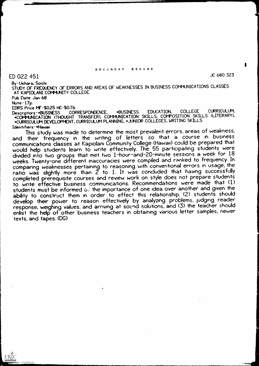#### DOCUMENT RESUME

JC 680 323

By Uehara, Soichi

STUDY OF FREQUENCY OF ERRORS AND AREAS OF WEAKNESSES IN BUSINESS COMMUNICATIONS CLASSES AT KAPIOLANI COVMUNITY COLLEGE.

Pub Date Jan 68 Note-17p.

ERIC

EDRS Price MF-\$0.25 HC-\$0.76<br>Descriptors-\*BUSINESS CORRESPONDENCE, Desc\_riptors-\*BUSINESS CORRESPONDENCE, \*BUSINESS EDUCATION, COLLEGE CURRICULUM, \*COMMUNICATION (THOUGHT TRANSFER), COMMUNICATION SKILLS, COMPOSITION SKILLS (LITERARY), \*CURRICULUM DEVELOPMENT, CURRICULUM PLANNING, \*JUNIOR COLLEGES, WRITING SKILLS Identifiers-\*Hawaii

This study was made to determine the most prevalent errors, areas of weakness, and their frequency in the writing of letters so that a course in business communications dasses at Kapiolani Community College (Hawaii) could be prepared that would help students learn to write effectively. The 55 participating students were divided into two groups that met two 1-hour-and-20-minute sessions a week for <sup>18</sup> weeks. Twenty-one different inaccuracies were compiled and ranked to frequency. In comparing weaknesses pertaining to reasoning with conventional errors in usage, the  $\overline{\phantom{a}}$  was slightly more than  $\widetilde{Z}$  to  $1.$  It was concluded that having successfully  $\overline{Z}$ completed prerequisite courses and review work on style does not prepare students to write effective business communications. Recommendations were made that (1) students must be informed of the importance of one idea over another and given the ability to construct them in order to effect this relationship, (2) students should develop their power to reason effectively by analyzing problems, judging reader response, weighing values, and arriving at sound solutions, and (3) the teacher should and response enlist the help of other business teachers in obtaining various letter samples, newer texts, and tapes. (DG)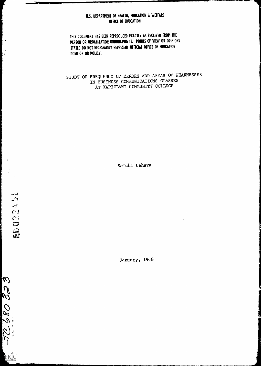# U.S. DEPARTMENT OF HEALTH, EDUCATION & WELFARE OFFICE OF EDUCATION

THIS DOCUMENT HAS BEEN REPRODUCED EXACTLY AS RECEIVED FROM THE PERSON OR ORGANIZATION ORIGINATING IT. POINTS OF VIEW OR OPINIONS STATED DO NOT NECESSARILY REPRESENT OFFICIAL OFFICE OF EDUCATION POSITION OR POLICY.

STUDY OF FREQUENCY OF ERRORS AND AREAS OF WEAKNESSES IN BUSINESS COMMUNICATIONS CLASSES AT KAPIOLANI COMMUNITY COLLEGE

Soichi Uehara

January, 1968

 $|\omega|$  $\Omega$ 08921 ERIC

**Partners**  $\mathbf{S}$  $\pm$  $\sim$ 

**EUD27** 

 $\mathbf{k}$  $\mathbf{Q}(\mathbf{r})$  $\pmb{i}$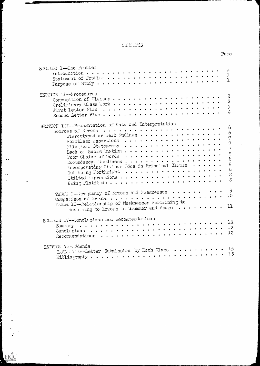# CONFIGHTS

 $\left| \cdot \right|$ 

h<br>|-Ļ.

 $\bullet$  .

 $\ddot{\phantom{a}}$  $\bullet$ 

 $\mathbf{A}^{\prime}$ 

 $\ddot{\bullet}$ 

ERIC

 $\ddot{\phantom{a}}$ 

 $\bullet$ 

| SECTION I-The Problem                                                                                                                                                                            | l<br>$\frac{1}{1}$                                                                               |
|--------------------------------------------------------------------------------------------------------------------------------------------------------------------------------------------------|--------------------------------------------------------------------------------------------------|
| SECTION II--Procedures<br>Composition of Classes                                                                                                                                                 | $\boldsymbol{z}$<br>$\frac{2}{3}$<br>$\overline{4}$                                              |
| SECTION III--Presentation of Data and Interpretation<br>stercotyped or Weak Endings                                                                                                              | 6<br>$\acute{o}$<br>$\overline{q}$<br>$\overline{7}$<br>$\mathbb{S}$<br>$\overleftrightarrow{c}$ |
| The L--requency of Errors and Weaknesses                                                                                                                                                         | -9                                                                                               |
| TABLE II--Relationship of Weaknesses Pertaining to<br>Reasoning to Errors in Grammar and Usage $\cdots \cdots \cdots 11$                                                                         |                                                                                                  |
| SECTION IV--Conclusions and Recommendations                                                                                                                                                      | 12<br>12<br>12                                                                                   |
| SECTION V--Addenda<br>TABLE III--Letter Submission by Each Class  15<br>$\text{Siblic}$ raphy $\ldots$ , $\ldots$ , $\ldots$ , $\ldots$ , $\ldots$ , $\ldots$ , $\ldots$ , $\ldots$ , $\ldots$ , | 15                                                                                               |

 $Pa_{\odot}$ e

 $\sim$ 

 $\hat{\mathcal{A}}$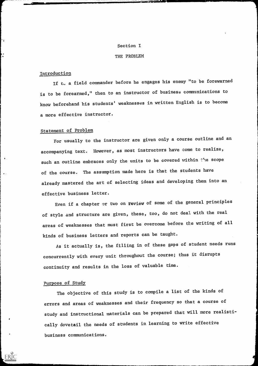#### Section I

#### THE PROBLEM

## Introduction

۰,

If to a field commander before he engages his enemy "to be forewarned is to be forearmed," then to an instructor of business communications to know beforehand his students' weaknesses in written English is to become a more effective instructor.

# Statement of Problem

For usually to the instructor are given only a course outline and an accompanying text. However, as most instructors have come to realize, such an outline embraces only the units to be covered within the scope of the course. The assumption made here is that the students have already mastered the art of selecting ideas and developing them into an effective business letter.

Even if a chapter or two on review of some of the general principles of style and structure are given, these, too, do not deal with the real areas of weaknesses that must first be overcome before the writing of all kinds of business letters and reports can be taught.

As it actually is, the filling in of these gaps of student needs runs concurrently with every unit throughout the course; thus it disrupts continuity and results in the loss of valuable time.

#### Purpose of Study

The objective of this study is to compile a list of the kinds of errors and areas of weaknesses and their frequency so that a course of study and instructional materials can be prepared that will more realistically dovetail the needs of students in learning to write effective business communications.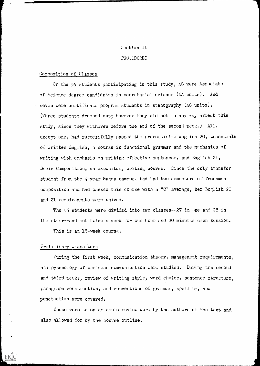# Section II

## PROGEDURES

# Composition of Classes

Of the 55 students participating in this study,  $48$  were Associate of Science degree candidates in secretarial science (64 units). And seven were certificate program students in stenography  $(48 \text{ units})$ . (Three students dropped out; however they did not in any way affect this study, since they withdrew before the end of the second week.) All, except one, had successfully passed the prerequisite English 20, Essentials of Written English, a course in functional grammar and the mechanics of writing with emphasis on writing effective sentences, and English 21, Basic Composition, an expository writing course. Since the only transfer student from the 4-year Manoa campus, had had two semesters of freshman composition and had passed this course with a "C" average, her English 20 and 21 requirements were waived.

The 55 students were divided into two classes--27 in one and 28 in the other--and met twice a week for one hour and 20 minutes each session.

This is an 18-week course.

## Preliminary Class Work

During the first week, communication theory, management requirements, and pyschology of business communication were studied. During the second and third weeks, review of writing style, word choice, sentence structure, paragraph construction, and conventions of grammar, spelling, and punctuation were covered.

These were taken as ample review work by the authors of the text and also allowed for by the course outline.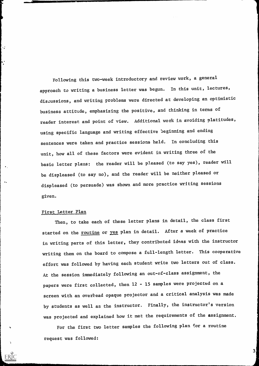Following this two-week introductory and review work, a general approach to writing a business letter was begun. In this unit, lectures, discussions, and writing problems were directed at developing an optimistic business attitude, emphasizing the positive, and Chinking in terms of reader interest and point of view. Additional work in avoiding platitudes, using specific language and writing effective beginning and ending sentences were taken and practice sessions held. In concluding this unit, how all of these factors were evident in writing three of the basic letter plans: the reader will be pleased (to say yes), reader will be displeased (to say no), and the reader will be neither pleased or displeased (to persuade) was shown and more practice writing sessions given.

## First Letter Plan

If

 $\ddot{\cdot}$ 

 $\ddot{\phantom{1}}$ 

Then, to take each of these letter plans in detail, the class first started on the routine or yes plan in detail. After a week of practice in writing parts of this letter, they contributed ideas with the instructor writing them on the board to compose a full-length letter. This cooperative effort was followed by having each student write two letters out of class. At the session immediately following an out-of-class assignment, the papers were first collected, then 12 - 15 samples were projected on a screen with an overhead opaque projector and a critical analysis was made by students as well as the instructor. Finally, the instructor's version was projected and explained how it met the requirements of the assignment.

For the first two letter samples the following plan for a routine request was followed:

3.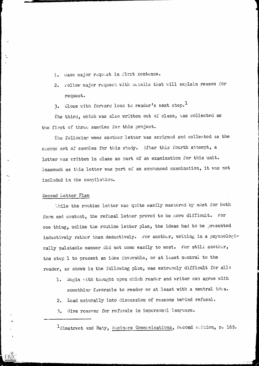- 1. nake major request in first sentence.
- 2. Follow major request with details that will explain reason for request.
- 3. Close with forward look to reader's next step.<sup>1</sup>

The third, which was also written out of class, was collected as the first of three samples for this project.

The following week another letter was assigned and collected as the second set of samples for this study. After this fourth attempt, a letter was written in class as part of an examination for this unit. Inasmuch as this letter was part of an announced examination, it was not included in the compilation.

## Second Letter Plan

While the routine letter was quite easily mastered by most for both form and content, the refusal letter proved to be more difficult. For one thing, unlike the routine letter plan, the ideas had to be presented inductively rather than deductively. For another, writing in a psychologically palatable manner did not come easily to most. For still another, the stop 1 to present an idea favorable, or at least neutral to the reader, as shown in the following plan, was extremely difficult for all:

- 1. Begin with thought upon which reader and writer can agree with something favorable to reader or at least with a neutral idea.
- 2. Lead naturally into discussion of reasons bebind refusal.
- 3. Give reasons for refusals in impersonal language.

 $1$ Himstreet and Baty, Business Communications, Second mattion, p. 165.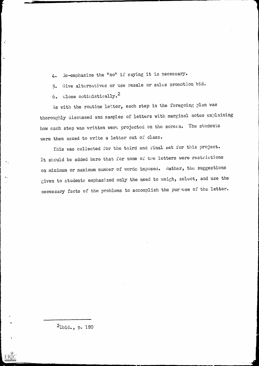4. )e-emohasize the "no" if saying it is necessarY.

5. Give alternatives or use resale or sales promotion bid.

6. Close optimistically.<sup>2</sup>

 $\frac{1}{2}$ 

ERIC

۰.

As with the routine letter, each step in the foregoing plan was thoroughly discussed and samples of letters with marginal notes explaining how each step was written were projected on the screen. The students were then asked to write a letter out of class.

This was collected for the third and final set for this project. It should be added here that for none of the letters were restrictions on minimum or maximum numoer of words imposed. Rather, the suggestions given to students emphasized only the need to weigh, select, and use the necessary facts of the problems to accomplish the purpose of the letter.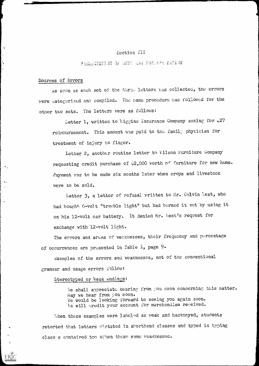## Section III

# PRESENTATION OF DATA AND INTERPRETENT

## Sources of Errors

×.

 $\boldsymbol{\delta}$ 

ERIC

As soon as each set of the three letters was collected, the errors were categorized and compiled. The same procedure was followed for the other two sets. The letters were as follows:

Letter 1, written to Wiggins Insurance Company asking for  $*27$ reimbursement. This amount was paid to the family physician for treatment of injury to finger.

Letter 2, another routine letter to  $\tilde{v}$  ilson Furniture Company requesting credit purchase of  $2,000$  worth of furniture for new home. Payment was to be made six months later when crops and livestock were bo be sold.

Letter 3, a letter of refusal written to Mr. Calvin West, who had bought 6-volt "trouble light" but had burned it out by using it on his 12-volt car battery. It denied Mr. West's request for exchange with 12-volt light.

The errors and areas of weaknesses, their frequency and percentage of occurrences are presented in Table  $I$ , page  $9$ .

Examples of the errors and weaknesses, not of the conventional grammar and usage errors follow:

# Stereotyped or Weak Endings:

We shall appreciate hearing from you soon concerning this matter. May we hear from you soon. We would be looking forward to seeing you again soon. le will credit your account for merchandise received.

When these examples were labeled as weak and hackneyed, students retorted that letters dictated in shorthand classes and typed in typing class s contained too often these same weaknesses.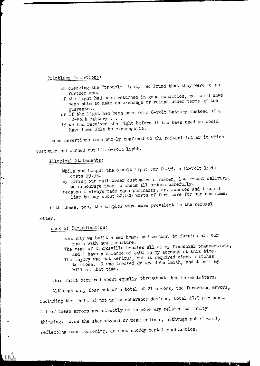# Pointless Assertions:

- In checking the "trouble light," we found that they were of no<br>further use.
- further use.<br>If the light had been returned in good condition, we could have been able to make an exchange or refund under terms of the
- guarantee. or If the light had been used on a 6-volt battery instead of a
- 12-volt battery . . .<br>If we had received the light before it had been used we would have been able to exchange it.

These assertions were wholly confined to the refusal letter in which customer had burned out his 6-volt light.

# Illogical Statements:

While you bought the 6-volt light for  $\&0.95$ , a 12-volt light costs  $\&9.95$ .

costs 89.95.<br>By giving our mail order customers a faster, lower-cost delivery, we encourage them to check all orders carefully. Because I always made cash purchases, mr. Johnson and I would like to buy about  $*2,000$  worth of furniture for our new nome.

With these, too, the samples were more prevalent in the refusal

#### letter.

 $\ddot{\phantom{a}}$  .

ERIC

# Laek of Sub prdination:

Aecently we built a new home, and we want to furnish all our rooms with new furniture. The Bank of Clarksville handles all of my financial transactions, and I have a balance of  $400$  in my account at this time. The injury was not serious, but it required eight stitches to close. I was treated by Dr. John Smith, and I paid my bill at that time.

This fault occurred about equally throughout the three letters.

Although only four out of a total of 21 errors, the foregoing errors, including the fault of not using coherence devices, total 47.9 per cent. All of these errors are directly or in some way related to faulty thinking. Even the stereotyped or weak endings, although not directly reflecting poor reasoning, do show shoddy mental application.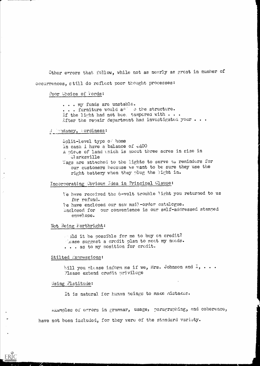Other errors that follow, while not as neerly as great in number of occurrences, still do reflect poor thought processes:

## Poor Choice of Words:

... my funds are unstable. . . . furniture would add othe structure. If the light had not bee, tampered with  $\cdots$ After the repair department had investigated your . . .

#### Repredancy, bordiness:

Split-level type of home In cash I have a balance of #400 A piece of land unich is about three acres in size in **Clarksville** Tags are attached to the lights to serve as reminders for our customers because we want to be sure they use the right battery when they plug the light in.

# Incorporating Obvious Idea in Principal Clause:

We have received the 6-volt trouble light you returned to us for refund. We have enclosed our new mail-order catalogue. Enclosed for our convenience is our self-addressed stamped envelope.

#### Not Being Forthright:

and it be possible for me to buy on credit? cease suggest a credit plan to meet my needs. ... as to my position for credit.

#### Stilted Expressions:

bill you please inform me if we, Mrs. Johnson and  $1, \ldots$ . Please extend credit privilege

#### Using Platitude:

ERIC

It is natural for human beings to make mistakes.

Lxamples of errors in grammar, usage, paragraphing, and coherence, have not been included, for they were of the standard variety.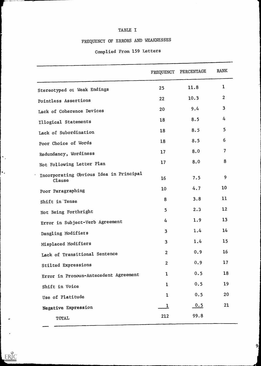# TABLE I

# FREQUENCY OF ERRORS AND WEAKNESSES

# Complied From 159 Letters

|                                                   | FREQUENCY               | PERCENTAGE | <b>RANK</b>    |
|---------------------------------------------------|-------------------------|------------|----------------|
| Stereotyped or Weak Endings                       | 25                      | 11.8       | 1              |
| Pointless Assertions                              | 22                      | 10.3       | $\overline{2}$ |
| Lack of Coherence Devices                         | 20                      | 9.4        | 3              |
| Illogical Statements                              | 18                      | 8.5        | 4              |
| Lack of Subordination                             | 18                      | 8.5        | 5              |
| Poor Choice of Words                              | 18                      | 8.5        | 6              |
| Redundancy, Wordiness                             | 17                      | 8.0        | $\overline{7}$ |
| Not Following Letter Plan                         | 17                      | 8.0        | 8              |
| Incorporating Obvious Idea in Principal<br>Clause | 16                      | 7.5        | 9              |
| Poor Paragraphing                                 | 10                      | 4.7        | 10             |
| Shift in Tense                                    | 8                       | 3.8        | 11             |
| Not Being Forthright                              | 5                       | 2.3        | 12             |
| Error in Subject-Verb Agreement                   | 4                       | 1.9        | 13             |
| Dangling Modifiers                                | $\overline{3}$          | 1.4        | 14             |
| Misplaced Modifiers                               | $\overline{\mathbf{3}}$ | 1.4        | 15             |
| Lack of Transitional Sentence                     | $\overline{2}$          | 0.9        | 16             |
| Stilted Expressions                               | $\overline{2}$          | 0.9        | 17             |
| Error in Pronoun-Antecedent Agreement             | $\mathbf 1$             | 0.5        | 18             |
| Shift in Voice                                    | $\mathbf{1}$            | 0.5        | 19             |
| Use of Platitude                                  | $\mathbf{1}$            | 0.5        | 20             |
| Negative Expression                               | $\mathbf{1}$            | 0.5        | 21             |
| TOTAL                                             | 212                     | 99.8       |                |

 $\left\vert \cdot \right\rangle$ 

 $\ddot{\bullet}$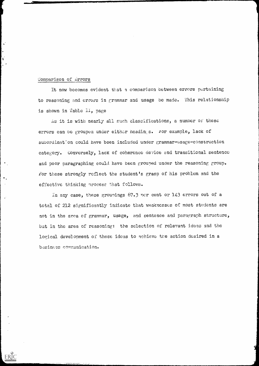# Comparison of Errors

÷

It now becomes evident that a comparison between errors pertaining to reasoning and errors in grammar and usage be made. This relationship is shown in Table  $II$ , page

As it is with nearly all such classifications, a number of these errors can be grouped under either headings. For example, lack of subordination could have been included under grammar-usage-construction category. Gonversely, lack of coherence device and transitional sentence and poor paragraphing could have been grouped under the reasoning group. ior these strongly reflect the student's grasp of his problem and the effective thinking nrocess that follows.

In any ease, these grounings 67.3 nor cent or 143 errors out of a total of 212 significantly indicate that weaknesses of most students are not in the area of grammar, usage, and sentence and paragraph structure, but in the area of reasoning: the selection of relevant ideas and the logical development of these ideas to achieve the action desired in a basiness communication.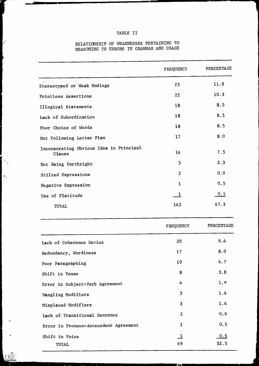# TABLE II

# RELATIONSHIP OF WEAKNESSES PERTAINING TO REASONING TO ERRORS IN GRAMMAR AND USAGE

 $\left\vert .\right\rangle$ 

 $\|\cdot\|$ 

 $\ddot{.}$ 

|                                                   | FREQUENCY          | PERCENTAGE  |  |
|---------------------------------------------------|--------------------|-------------|--|
| Stereotyped or Weak Endings                       | 25                 | 11.8        |  |
| Pointless Assertions                              | 22                 | 10.3        |  |
| Illogical Statements                              | 18                 | 8.5         |  |
| Lack of Subordination                             | 18                 | 8.5         |  |
| Poor Choice of Words                              | 18                 | 8.5         |  |
| Not Following Letter Plan                         | 17                 | 8.0         |  |
| Incorporating Obvious Idea in Principal<br>Clause | 16                 | 7.5         |  |
| Not Being Forthright                              | 5                  | 2.3         |  |
| Stilted Expressions                               | $\overline{2}$     | 0.9         |  |
| Negative Expression                               | 1                  | 0.5         |  |
| Use of Platitude                                  | $\mathbf{\perp}$   | 0.5         |  |
| <b>TOTAL</b>                                      | 143                | 67.3        |  |
|                                                   | FREQUENCY          | PERCENTAGE  |  |
| Lack of Coherence Device                          | 20                 | 9.4         |  |
| Redundancy, Wordiness                             | 17                 | 8.0         |  |
| Poor Paragraphing                                 | 10 <sub>1</sub>    | 4.7         |  |
| Shift in Tense                                    | 8                  | 3.8         |  |
| Error in Subject-Verb Agreement                   | 4                  | 1.9         |  |
| Dangling Modifiers                                | 3                  | 1.4         |  |
| Misplaced Modifiers                               | $\overline{3}$     | 1.4         |  |
| Lack of Transitional Sentence                     | $\overline{2}$     | 0.9         |  |
| Error in Pronoun-Antecedent Agreement             | $\mathbf 1$        | 0.5         |  |
| Shift in Voice<br><b>TOTAL</b>                    | $\mathbf{1}$<br>69 | 0.5<br>32.5 |  |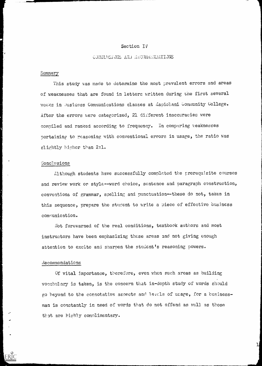## Section IV

## GONCLUSIONS AND RECOMMENDATIONS

## Summary

This study was made to determine the most prevalent errors and areas of weaknesses that are found in letters written during tne first several weeks in Business Communications classes at Lapiolani Community College. After the errors were categorized, 21 different inaccuracies were compiled and ranked according to frequency. In comparing veaknesses pertaining to reasoning with conventional errors in usage, the ratio was slightly higher than 2:1.

# Conclusions

Although students have successfully completed the prerequisite courses and review work or style--word choice, sentence and paragraph construction, conventions of grammar, spelling and punctuation--these do not, taken in this sequence, prepare the student to write a piece of effective business communication.

Not forewarned of the real conditions, textbook authors and most instructors have been emphasizing these areas and not giving enough attention to excite and snarpen the student's reasoning powers.

# Aecommendations

ERIC

Of vital importance, therefore, even when such areas as building vocabulary is taken, is the concern that in-depth study of words should go beyond to the connotative aspects and levcls of usage, for a businessman is constantly in need of words that do not offend as well as those that are highly complimentary.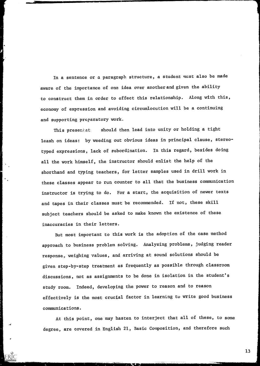In a sentence or a paragraph structure, a student must also be made aware of the importance of one idea over anotherand given the ability to construct them in order to effect this relationship. Along with this, economy of expression and avoiding circumlocution will be a continuing and supporting preparatory work.

This presentat. should then lead into unity or holding a tight leash on ideas: by weeding out obvious ideas in principal clause, stereotyped expressions, lack of subordination. In this regard, besides doing all the work himself, the instructor should enlist the help of the shorthand and typing teachers, for letter samples used in drill work in these classes appear to run counter to all that the business communication instructor is trying to do. For a start, the acquisition of newer texts and tapes in their classes must be recommended. If not, these skill subject teachers should be asked to make known the existence of these inaccuracies in their letters.

But most important to this work is the adoption of the case method approach to business problem solving. Analyzing problems, judging reader response, weighing values, and arriving at sound solutions should be given step-by-step treatment as frequently as possible through classroom discussions, not as assignments to be done in isolation in the student's study room. Indeed, developing the power to reason and to reason effectively is the most crucial factor in learning tu write good business communications.

At this point, one may hasten to interject that all of these, to some degree, are covered in English 21, Basic Composition, and therefore such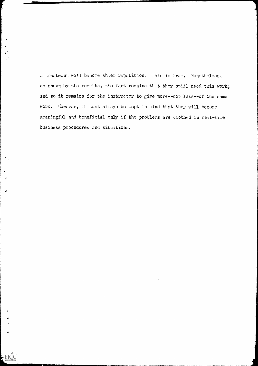a treatment will become sheer repetition. This is true. Nonetheless, as shown by the results, the fact remains that they still need this work; and so it remains for the instructor to give more--not less--of the same work. However, it must always be kept in mind that they will become meaningful and beneficial only if the problems are clothed in real-life business procedures and situations.

Ä

 $\label{eq:ex1} \underset{\underset{\text{PartRate Proofates by ERIC}}{\sum} }{\sum}$